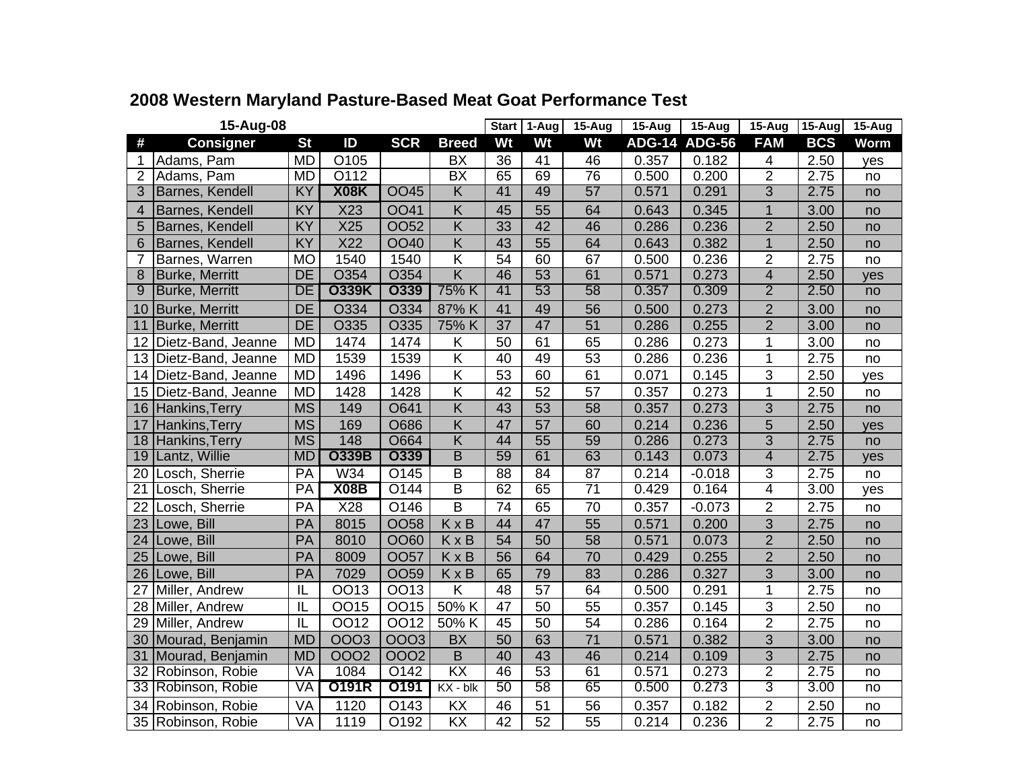| 15-Aug-08       |                       |           |                 |             |                         |    | 1-Aug           | $15 - Aug$      | 15-Aug | 15-Aug               | $15 - Aug$     | <b>15-Aug</b> | 15-Aug      |
|-----------------|-----------------------|-----------|-----------------|-------------|-------------------------|----|-----------------|-----------------|--------|----------------------|----------------|---------------|-------------|
| #               | <b>Consigner</b>      | <b>St</b> | ID              | <b>SCR</b>  | <b>Breed</b>            | Wt | Wt              | Wt              |        | <b>ADG-14 ADG-56</b> | <b>FAM</b>     | <b>BCS</b>    | <b>Worm</b> |
| 1               | Adams, Pam            | <b>MD</b> | O105            |             | <b>BX</b>               | 36 | 41              | 46              | 0.357  | 0.182                | 4              | 2.50          | yes         |
| $\overline{2}$  | Adams, Pam            | <b>MD</b> | O112            |             | $\overline{BX}$         | 65 | 69              | 76              | 0.500  | 0.200                | $\overline{2}$ | 2.75          | no          |
| 3               | Barnes, Kendell       | <b>KY</b> | <b>X08K</b>     | <b>OO45</b> | $\overline{\mathsf{K}}$ | 41 | 49              | 57              | 0.571  | 0.291                | $\overline{3}$ | 2.75          | no          |
| 4               | Barnes, Kendell       | KY        | X23             | <b>OO41</b> | K                       | 45 | 55              | 64              | 0.643  | 0.345                | $\mathbf{1}$   | 3.00          | no          |
| 5               | Barnes, Kendell       | KY        | X25             | <b>OO52</b> | Κ                       | 33 | 42              | 46              | 0.286  | 0.236                | $\overline{c}$ | 2.50          | no          |
| 6               | Barnes, Kendell       | KY        | X <sub>22</sub> | <b>OO40</b> | $\overline{K}$          | 43 | 55              | 64              | 0.643  | 0.382                | $\mathbf{1}$   | 2.50          | no          |
| 7               | Barnes, Warren        | <b>MO</b> | 1540            | 1540        | Κ                       | 54 | 60              | 67              | 0.500  | 0.236                | $\overline{2}$ | 2.75          | no          |
| 8               | <b>Burke, Merritt</b> | <b>DE</b> | O354            | O354        | $\overline{\mathsf{K}}$ | 46 | $\overline{53}$ | 61              | 0.571  | 0.273                | $\overline{4}$ | 2.50          | yes         |
| 9               | <b>Burke, Merritt</b> | DE        | <b>O339K</b>    | <b>O339</b> | 75% K                   | 41 | 53              | 58              | 0.357  | 0.309                | $\overline{2}$ | 2.50          | no          |
| 10              | <b>Burke, Merritt</b> | <b>DE</b> | O334            | O334        | 87% K                   | 41 | 49              | 56              | 0.500  | 0.273                | $\overline{2}$ | 3.00          | no          |
| 11              | <b>Burke, Merritt</b> | <b>DE</b> | O335            | O335        | 75% K                   | 37 | 47              | 51              | 0.286  | 0.255                | $\overline{2}$ | 3.00          | no          |
| 12              | Dietz-Band, Jeanne    | <b>MD</b> | 1474            | 1474        | Κ                       | 50 | 61              | 65              | 0.286  | 0.273                | 1              | 3.00          | no          |
| 13              | Dietz-Band, Jeanne    | <b>MD</b> | 1539            | 1539        | Κ                       | 40 | 49              | 53              | 0.286  | 0.236                | 1              | 2.75          | no          |
| 14              | Dietz-Band, Jeanne    | <b>MD</b> | 1496            | 1496        | Κ                       | 53 | 60              | 61              | 0.071  | 0.145                | 3              | 2.50          | yes         |
| 15              | Dietz-Band, Jeanne    | <b>MD</b> | 1428            | 1428        | $\overline{\mathsf{K}}$ | 42 | 52              | 57              | 0.357  | 0.273                | 1              | 2.50          | no          |
| 16              | Hankins, Terry        | <b>MS</b> | 149             | O641        | Κ                       | 43 | 53              | 58              | 0.357  | 0.273                | 3              | 2.75          | no          |
| 17              | Hankins, Terry        | <b>MS</b> | 169             | O686        | K                       | 47 | 57              | 60              | 0.214  | 0.236                | 5              | 2.50          | yes         |
| 18              | Hankins, Terry        | <b>MS</b> | 148             | <b>O664</b> | $\overline{\mathsf{K}}$ | 44 | $\overline{55}$ | 59              | 0.286  | 0.273                | $\overline{3}$ | 2.75          | no          |
| 19              | Lantz, Willie         | <b>MD</b> | <b>O339B</b>    | <b>O339</b> | B                       | 59 | 61              | 63              | 0.143  | 0.073                | $\overline{4}$ | 2.75          | yes         |
| $\overline{20}$ | Losch, Sherrie        | PA        | <b>W34</b>      | O145        | $\overline{\mathsf{B}}$ | 88 | 84              | 87              | 0.214  | $-0.018$             | 3              | 2.75          | no          |
| $\overline{21}$ | Losch, Sherrie        | PA        | <b>X08B</b>     | O144        | B                       | 62 | 65              | $\overline{71}$ | 0.429  | 0.164                | $\overline{4}$ | 3.00          | yes         |
| 22              | Losch, Sherrie        | PA        | X28             | O146        | B                       | 74 | 65              | 70              | 0.357  | $-0.073$             | $\overline{2}$ | 2.75          | no          |
| 23              | Lowe, Bill            | PA        | 8015            | <b>OO58</b> | KxB                     | 44 | 47              | 55              | 0.571  | 0.200                | 3              | 2.75          | no          |
| 24              | Lowe, Bill            | PA        | 8010            | OO60        | KxB                     | 54 | 50              | 58              | 0.571  | 0.073                | $\overline{2}$ | 2.50          | no          |
| 25              | Lowe, Bill            | PA        | 8009            | <b>OO57</b> | KxB                     | 56 | 64              | 70              | 0.429  | 0.255                | $\overline{2}$ | 2.50          | no          |
| 26              | Lowe, Bill            | PA        | 7029            | <b>OO59</b> | KxB                     | 65 | 79              | 83              | 0.286  | 0.327                | 3              | 3.00          | no          |
| 27              | Miller, Andrew        | IL        | OO13            | OO13        | $\overline{\mathsf{K}}$ | 48 | $\overline{57}$ | 64              | 0.500  | 0.291                | $\mathbf{1}$   | 2.75          | no          |
| 28              | Miller, Andrew        | IL        | OO15            | OO15        | 50% K                   | 47 | 50              | 55              | 0.357  | 0.145                | 3              | 2.50          | no          |
| 29              | Miller, Andrew        | IL        | OO12            | OO12        | 50% K                   | 45 | 50              | 54              | 0.286  | 0.164                | $\overline{2}$ | 2.75          | no          |
| 30              | Mourad, Benjamin      | <b>MD</b> | <b>OOO3</b>     | 0003        | <b>BX</b>               | 50 | 63              | $\overline{71}$ | 0.571  | 0.382                | 3              | 3.00          | no          |
| 31              | Mourad, Benjamin      | <b>MD</b> | 0002            | 0002        | $\sf B$                 | 40 | 43              | 46              | 0.214  | 0.109                | 3              | 2.75          | no          |
| 32              | Robinson, Robie       | VA        | 1084            | O142        | $\overline{KX}$         | 46 | 53              | 61              | 0.571  | 0.273                | $\overline{2}$ | 2.75          | no          |
| 33              | Robinson, Robie       | VA        | 0191R           | 0191        | $KX - bK$               | 50 | 58              | 65              | 0.500  | 0.273                | 3              | 3.00          | no          |
| 34              | Robinson, Robie       | VA        | 1120            | O143        | KX                      | 46 | 51              | 56              | 0.357  | 0.182                | $\overline{2}$ | 2.50          | no          |
|                 | 35 Robinson, Robie    | VA        | 1119            | O192        | KX                      | 42 | 52              | 55              | 0.214  | 0.236                | $\overline{2}$ | 2.75          | no          |

## **2008 Western Maryland Pasture-Based Meat Goat Performance Test**